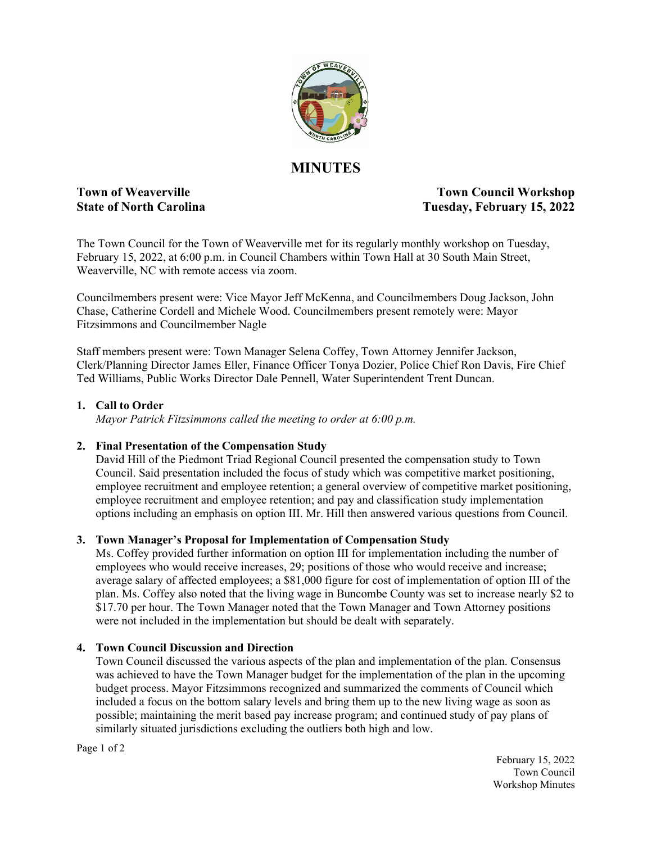

# **MINUTES**

**Town of Weaverville State Council Workshop State of North Carolina Tuesday, February 15, 2022**

The Town Council for the Town of Weaverville met for its regularly monthly workshop on Tuesday, February 15, 2022, at 6:00 p.m. in Council Chambers within Town Hall at 30 South Main Street, Weaverville, NC with remote access via zoom.

Councilmembers present were: Vice Mayor Jeff McKenna, and Councilmembers Doug Jackson, John Chase, Catherine Cordell and Michele Wood. Councilmembers present remotely were: Mayor Fitzsimmons and Councilmember Nagle

Staff members present were: Town Manager Selena Coffey, Town Attorney Jennifer Jackson, Clerk/Planning Director James Eller, Finance Officer Tonya Dozier, Police Chief Ron Davis, Fire Chief Ted Williams, Public Works Director Dale Pennell, Water Superintendent Trent Duncan.

### **1. Call to Order**

*Mayor Patrick Fitzsimmons called the meeting to order at 6:00 p.m.*

## **2. Final Presentation of the Compensation Study**

David Hill of the Piedmont Triad Regional Council presented the compensation study to Town Council. Said presentation included the focus of study which was competitive market positioning, employee recruitment and employee retention; a general overview of competitive market positioning, employee recruitment and employee retention; and pay and classification study implementation options including an emphasis on option III. Mr. Hill then answered various questions from Council.

#### **3. Town Manager's Proposal for Implementation of Compensation Study**

Ms. Coffey provided further information on option III for implementation including the number of employees who would receive increases, 29; positions of those who would receive and increase; average salary of affected employees; a \$81,000 figure for cost of implementation of option III of the plan. Ms. Coffey also noted that the living wage in Buncombe County was set to increase nearly \$2 to \$17.70 per hour. The Town Manager noted that the Town Manager and Town Attorney positions were not included in the implementation but should be dealt with separately.

#### **4. Town Council Discussion and Direction**

Town Council discussed the various aspects of the plan and implementation of the plan. Consensus was achieved to have the Town Manager budget for the implementation of the plan in the upcoming budget process. Mayor Fitzsimmons recognized and summarized the comments of Council which included a focus on the bottom salary levels and bring them up to the new living wage as soon as possible; maintaining the merit based pay increase program; and continued study of pay plans of similarly situated jurisdictions excluding the outliers both high and low.

Page 1 of 2

February 15, 2022 Town Council Workshop Minutes